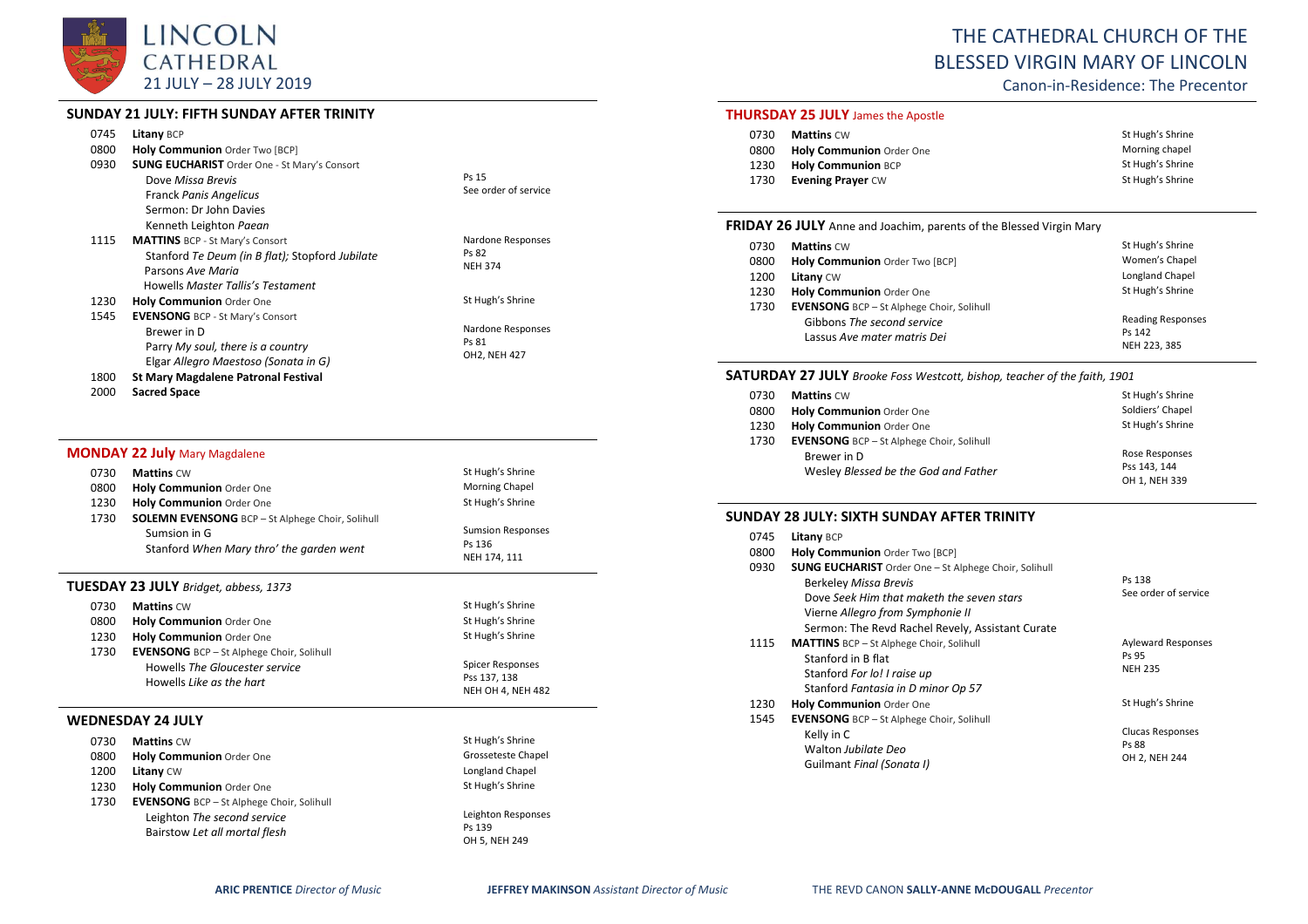

# **SUNDAY 21 JULY: FIFTH SUNDAY AFTER TRINITY**

| <b>Litany BCP</b><br>Holy Communion Order Two [BCP]     |                                                                                                        |
|---------------------------------------------------------|--------------------------------------------------------------------------------------------------------|
| Dove Missa Brevis                                       | Ps 15                                                                                                  |
| <b>Franck Panis Angelicus</b><br>Sermon: Dr John Davies | See order of service                                                                                   |
| Kenneth Leighton Paean                                  |                                                                                                        |
| <b>MATTINS</b> BCP - St Mary's Consort                  | Nardone Responses<br>Ps 82                                                                             |
| Parsons Ave Maria                                       | <b>NEH 374</b>                                                                                         |
| Howells Master Tallis's Testament                       |                                                                                                        |
| <b>Holy Communion</b> Order One                         | St Hugh's Shrine                                                                                       |
| <b>EVENSONG</b> BCP - St Mary's Consort                 |                                                                                                        |
| Brewer in D                                             | Nardone Responses                                                                                      |
| Parry My soul, there is a country                       | Ps 81<br>OH2, NEH 427                                                                                  |
| Elgar Allegro Maestoso (Sonata in G)                    |                                                                                                        |
| <b>St Mary Magdalene Patronal Festival</b>              |                                                                                                        |
|                                                         | <b>SUNG EUCHARIST</b> Order One - St Mary's Consort<br>Stanford Te Deum (in B flat); Stopford Jubilate |

2000 **Sacred Space**

## **MONDAY 22 July** Mary Magdalene

| 0730 | <b>Mattins CW</b>                                       | St Hugh's Shrine         |
|------|---------------------------------------------------------|--------------------------|
| 0800 | Holy Communion Order One                                | Morning Chapel           |
| 1230 | Holy Communion Order One                                | St Hugh's Shrine         |
| 1730 | <b>SOLEMN EVENSONG</b> BCP - St Alphege Choir, Solihull |                          |
|      | Sumsion in G                                            | <b>Sumsion Responses</b> |
|      | Stanford When Mary thro' the garden went                | Ps 136                   |
|      |                                                         | NEH 174, 111             |

#### **TUESDAY 23 JULY** *Bridget, abbess, 1373*

| 0730<br>0800<br>1230 | <b>Mattins CW</b><br>Holy Communion Order One<br>Holy Communion Order One                                      | St Hugh's Shrine<br>St Hugh's Shrine<br>St Hugh's Shrine     |
|----------------------|----------------------------------------------------------------------------------------------------------------|--------------------------------------------------------------|
| 1730                 | <b>EVENSONG</b> BCP - St Alphege Choir, Solihull<br>Howells The Gloucester service<br>Howells Like as the hart | Spicer Responses<br>Pss 137, 138<br><b>NEH OH 4, NEH 482</b> |
|                      | VEDNESDAY 24 JULY                                                                                              |                                                              |

#### **WEDNESDAY 24 JULY**

| 0730 | <b>Mattins CW</b>                                | St Hugh's Shrine   |
|------|--------------------------------------------------|--------------------|
| 0800 | <b>Holy Communion Order One</b>                  | Grosseteste Chapel |
| 1200 | <b>Litany CW</b>                                 | Longland Chapel    |
| 1230 | Holy Communion Order One                         | St Hugh's Shrine   |
| 1730 | <b>EVENSONG</b> BCP - St Alphege Choir, Solihull |                    |
|      | Leighton The second service                      | Leighton Responses |
|      | Bairstow Let all mortal flesh                    | Ps 139             |
|      |                                                  | OH 5, NEH 249      |

# THE CATHEDRAL CHURCH OF THE BLESSED VIRGIN MARY OF LINCOLN

Canon-in-Residence: The Precentor

# **THURSDAY 25 JULY** James the Apostle

| 0730 | <b>Mattins CW</b>         | St Hugh's Shrine |
|------|---------------------------|------------------|
| 0800 | Holy Communion Order One  | Morning chapel   |
| 1230 | <b>Holy Communion BCP</b> | St Hugh's Shrine |
| 1730 | <b>Evening Prayer CW</b>  | St Hugh's Shrine |

#### **FRIDAY 26 JULY** Anne and Joachim, parents of the Blessed Virgin Mary

| 0730 | <b>Mattins CW</b>                                | St Hugh's Shrine         |
|------|--------------------------------------------------|--------------------------|
| 0800 | Holy Communion Order Two [BCP]                   | Women's Chapel           |
| 1200 | Litany CW                                        | Longland Chapel          |
| 1230 | Holy Communion Order One                         | St Hugh's Shrine         |
| 1730 | <b>EVENSONG</b> BCP - St Alphege Choir, Solihull |                          |
|      | Gibbons The second service                       | <b>Reading Responses</b> |
|      | Lassus Ave mater matris Dei                      |                          |
|      |                                                  | Ps 142<br>NEH 223, 385   |

# **SATURDAY 27 JULY** *Brooke Foss Westcott, bishop, teacher of the faith, 1901*

| 0730 | <b>Mattins CW</b>                                | St Hugh's Shrine |
|------|--------------------------------------------------|------------------|
| 0800 | Holy Communion Order One                         | Soldiers' Chapel |
| 1230 | Holy Communion Order One                         | St Hugh's Shrine |
| 1730 | <b>EVENSONG</b> BCP - St Alphege Choir, Solihull |                  |
|      | Brewer in D                                      | Rose Responses   |
|      | Wesley Blessed be the God and Father             | Pss 143, 144     |
|      |                                                  | OH 1, NEH 339    |

#### **SUNDAY 28 JULY: SIXTH SUNDAY AFTER TRINITY**

| 0745 | Litany BCP                                                                                                                                                                                                                        |                                                      |
|------|-----------------------------------------------------------------------------------------------------------------------------------------------------------------------------------------------------------------------------------|------------------------------------------------------|
| 0800 | Holy Communion Order Two [BCP]                                                                                                                                                                                                    |                                                      |
| 0930 | <b>SUNG EUCHARIST</b> Order One - St Alphege Choir, Solihull<br><b>Berkeley Missa Brevis</b><br>Dove Seek Him that maketh the seven stars<br>Vierne Allegro from Symphonie II<br>Sermon: The Revd Rachel Revely, Assistant Curate | Ps 138<br>See order of service                       |
| 1115 | <b>MATTINS</b> BCP - St Alphege Choir, Solihull<br>Stanford in B flat<br>Stanford For lo! I raise up<br>Stanford Fantasia in D minor Op 57                                                                                        | <b>Ayleward Responses</b><br>Ps 95<br><b>NEH 235</b> |
| 1230 | <b>Holy Communion Order One</b>                                                                                                                                                                                                   | St Hugh's Shrine                                     |
| 1545 | <b>EVENSONG</b> BCP - St Alphege Choir, Solihull<br>Kelly in C<br>Walton Jubilate Deo<br>Guilmant Final (Sonata I)                                                                                                                | <b>Clucas Responses</b><br>Ps 88<br>OH 2, NEH 244    |